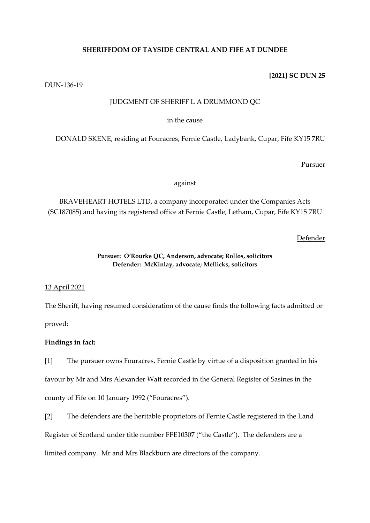# **SHERIFFDOM OF TAYSIDE CENTRAL AND FIFE AT DUNDEE**

## **[2021] SC DUN 25**

DUN-136-19

## JUDGMENT OF SHERIFF L A DRUMMOND QC

## in the cause

DONALD SKENE, residing at Fouracres, Fernie Castle, Ladybank, Cupar, Fife KY15 7RU

## Pursuer

against

BRAVEHEART HOTELS LTD, a company incorporated under the Companies Acts (SC187085) and having its registered office at Fernie Castle, Letham, Cupar, Fife KY15 7RU

Defender

## **Pursuer: O'Rourke QC, Anderson, advocate; Rollos, solicitors Defender: McKinlay, advocate; Mellicks, solicitors**

# 13 April 2021

The Sheriff, having resumed consideration of the cause finds the following facts admitted or proved:

# **Findings in fact:**

[1] The pursuer owns Fouracres, Fernie Castle by virtue of a disposition granted in his favour by Mr and Mrs Alexander Watt recorded in the General Register of Sasines in the county of Fife on 10 January 1992 ("Fouracres").

[2] The defenders are the heritable proprietors of Fernie Castle registered in the Land Register of Scotland under title number FFE10307 ("the Castle"). The defenders are a limited company. Mr and Mrs Blackburn are directors of the company.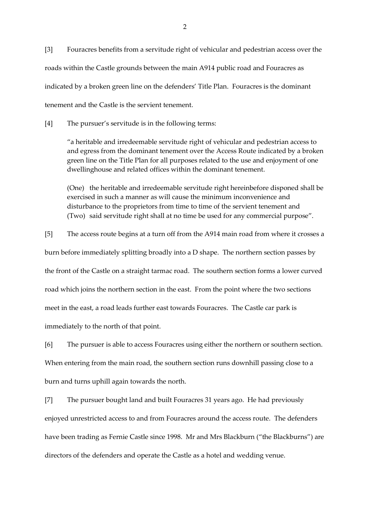[3] Fouracres benefits from a servitude right of vehicular and pedestrian access over the roads within the Castle grounds between the main A914 public road and Fouracres as indicated by a broken green line on the defenders' Title Plan. Fouracres is the dominant tenement and the Castle is the servient tenement.

[4] The pursuer's servitude is in the following terms:

"a heritable and irredeemable servitude right of vehicular and pedestrian access to and egress from the dominant tenement over the Access Route indicated by a broken green line on the Title Plan for all purposes related to the use and enjoyment of one dwellinghouse and related offices within the dominant tenement.

(One) the heritable and irredeemable servitude right hereinbefore disponed shall be exercised in such a manner as will cause the minimum inconvenience and disturbance to the proprietors from time to time of the servient tenement and (Two) said servitude right shall at no time be used for any commercial purpose".

[5] The access route begins at a turn off from the A914 main road from where it crosses a

burn before immediately splitting broadly into a D shape. The northern section passes by

the front of the Castle on a straight tarmac road. The southern section forms a lower curved

road which joins the northern section in the east. From the point where the two sections

meet in the east, a road leads further east towards Fouracres. The Castle car park is

immediately to the north of that point.

[6] The pursuer is able to access Fouracres using either the northern or southern section. When entering from the main road, the southern section runs downhill passing close to a burn and turns uphill again towards the north.

[7] The pursuer bought land and built Fouracres 31 years ago. He had previously enjoyed unrestricted access to and from Fouracres around the access route. The defenders have been trading as Fernie Castle since 1998. Mr and Mrs Blackburn ("the Blackburns") are directors of the defenders and operate the Castle as a hotel and wedding venue.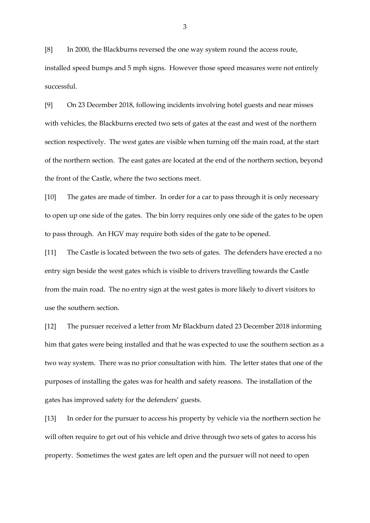[8] In 2000, the Blackburns reversed the one way system round the access route, installed speed bumps and 5 mph signs. However those speed measures were not entirely successful.

[9] On 23 December 2018, following incidents involving hotel guests and near misses with vehicles, the Blackburns erected two sets of gates at the east and west of the northern section respectively. The west gates are visible when turning off the main road, at the start of the northern section. The east gates are located at the end of the northern section, beyond the front of the Castle, where the two sections meet.

[10] The gates are made of timber. In order for a car to pass through it is only necessary to open up one side of the gates. The bin lorry requires only one side of the gates to be open to pass through. An HGV may require both sides of the gate to be opened.

[11] The Castle is located between the two sets of gates. The defenders have erected a no entry sign beside the west gates which is visible to drivers travelling towards the Castle from the main road. The no entry sign at the west gates is more likely to divert visitors to use the southern section.

[12] The pursuer received a letter from Mr Blackburn dated 23 December 2018 informing him that gates were being installed and that he was expected to use the southern section as a two way system. There was no prior consultation with him. The letter states that one of the purposes of installing the gates was for health and safety reasons. The installation of the gates has improved safety for the defenders' guests.

[13] In order for the pursuer to access his property by vehicle via the northern section he will often require to get out of his vehicle and drive through two sets of gates to access his property. Sometimes the west gates are left open and the pursuer will not need to open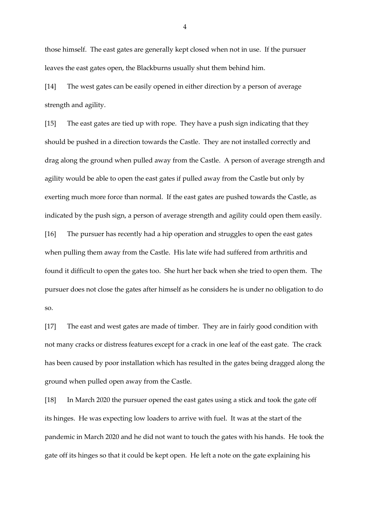those himself. The east gates are generally kept closed when not in use. If the pursuer leaves the east gates open, the Blackburns usually shut them behind him.

[14] The west gates can be easily opened in either direction by a person of average strength and agility.

[15] The east gates are tied up with rope. They have a push sign indicating that they should be pushed in a direction towards the Castle. They are not installed correctly and drag along the ground when pulled away from the Castle. A person of average strength and agility would be able to open the east gates if pulled away from the Castle but only by exerting much more force than normal. If the east gates are pushed towards the Castle, as indicated by the push sign, a person of average strength and agility could open them easily. [16] The pursuer has recently had a hip operation and struggles to open the east gates

found it difficult to open the gates too. She hurt her back when she tried to open them. The pursuer does not close the gates after himself as he considers he is under no obligation to do so.

when pulling them away from the Castle. His late wife had suffered from arthritis and

[17] The east and west gates are made of timber. They are in fairly good condition with not many cracks or distress features except for a crack in one leaf of the east gate. The crack has been caused by poor installation which has resulted in the gates being dragged along the ground when pulled open away from the Castle.

[18] In March 2020 the pursuer opened the east gates using a stick and took the gate off its hinges. He was expecting low loaders to arrive with fuel. It was at the start of the pandemic in March 2020 and he did not want to touch the gates with his hands. He took the gate off its hinges so that it could be kept open. He left a note on the gate explaining his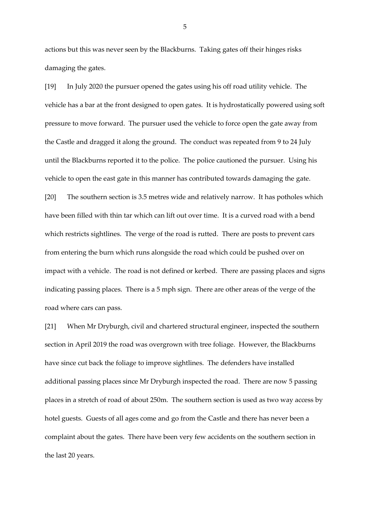actions but this was never seen by the Blackburns. Taking gates off their hinges risks damaging the gates.

[19] In July 2020 the pursuer opened the gates using his off road utility vehicle. The vehicle has a bar at the front designed to open gates. It is hydrostatically powered using soft pressure to move forward. The pursuer used the vehicle to force open the gate away from the Castle and dragged it along the ground. The conduct was repeated from 9 to 24 July until the Blackburns reported it to the police. The police cautioned the pursuer. Using his vehicle to open the east gate in this manner has contributed towards damaging the gate. [20] The southern section is 3.5 metres wide and relatively narrow. It has potholes which have been filled with thin tar which can lift out over time. It is a curved road with a bend which restricts sightlines. The verge of the road is rutted. There are posts to prevent cars from entering the burn which runs alongside the road which could be pushed over on impact with a vehicle. The road is not defined or kerbed. There are passing places and signs indicating passing places. There is a 5 mph sign. There are other areas of the verge of the road where cars can pass.

[21] When Mr Dryburgh, civil and chartered structural engineer, inspected the southern section in April 2019 the road was overgrown with tree foliage. However, the Blackburns have since cut back the foliage to improve sightlines. The defenders have installed additional passing places since Mr Dryburgh inspected the road. There are now 5 passing places in a stretch of road of about 250m. The southern section is used as two way access by hotel guests. Guests of all ages come and go from the Castle and there has never been a complaint about the gates. There have been very few accidents on the southern section in the last 20 years.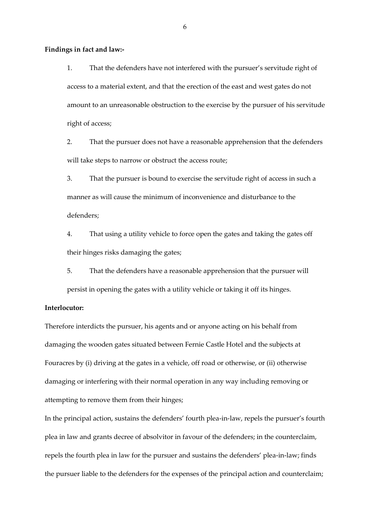**Findings in fact and law:-**

1. That the defenders have not interfered with the pursuer's servitude right of access to a material extent, and that the erection of the east and west gates do not amount to an unreasonable obstruction to the exercise by the pursuer of his servitude right of access;

2. That the pursuer does not have a reasonable apprehension that the defenders will take steps to narrow or obstruct the access route;

3. That the pursuer is bound to exercise the servitude right of access in such a manner as will cause the minimum of inconvenience and disturbance to the defenders;

4. That using a utility vehicle to force open the gates and taking the gates off their hinges risks damaging the gates;

5. That the defenders have a reasonable apprehension that the pursuer will persist in opening the gates with a utility vehicle or taking it off its hinges.

## **Interlocutor:**

Therefore interdicts the pursuer, his agents and or anyone acting on his behalf from damaging the wooden gates situated between Fernie Castle Hotel and the subjects at Fouracres by (i) driving at the gates in a vehicle, off road or otherwise, or (ii) otherwise damaging or interfering with their normal operation in any way including removing or attempting to remove them from their hinges;

In the principal action, sustains the defenders' fourth plea-in-law, repels the pursuer's fourth plea in law and grants decree of absolvitor in favour of the defenders; in the counterclaim, repels the fourth plea in law for the pursuer and sustains the defenders' plea-in-law; finds the pursuer liable to the defenders for the expenses of the principal action and counterclaim;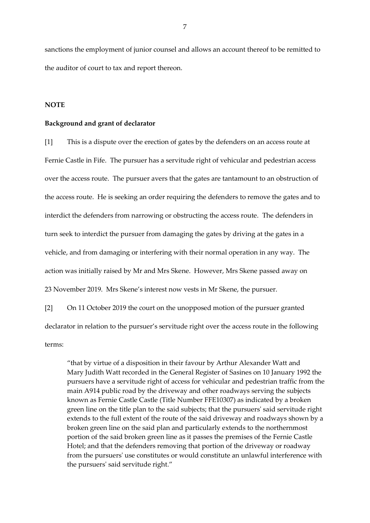sanctions the employment of junior counsel and allows an account thereof to be remitted to the auditor of court to tax and report thereon.

#### **NOTE**

#### **Background and grant of declarator**

[1] This is a dispute over the erection of gates by the defenders on an access route at Fernie Castle in Fife. The pursuer has a servitude right of vehicular and pedestrian access over the access route. The pursuer avers that the gates are tantamount to an obstruction of the access route. He is seeking an order requiring the defenders to remove the gates and to interdict the defenders from narrowing or obstructing the access route. The defenders in turn seek to interdict the pursuer from damaging the gates by driving at the gates in a vehicle, and from damaging or interfering with their normal operation in any way. The action was initially raised by Mr and Mrs Skene. However, Mrs Skene passed away on 23 November 2019. Mrs Skene's interest now vests in Mr Skene, the pursuer.

[2] On 11 October 2019 the court on the unopposed motion of the pursuer granted declarator in relation to the pursuer's servitude right over the access route in the following terms:

"that by virtue of a disposition in their favour by Arthur Alexander Watt and Mary Judith Watt recorded in the General Register of Sasines on 10 January 1992 the pursuers have a servitude right of access for vehicular and pedestrian traffic from the main A914 public road by the driveway and other roadways serving the subjects known as Fernie Castle Castle (Title Number FFE10307) as indicated by a broken green line on the title plan to the said subjects; that the pursuers' said servitude right extends to the full extent of the route of the said driveway and roadways shown by a broken green line on the said plan and particularly extends to the northernmost portion of the said broken green line as it passes the premises of the Fernie Castle Hotel; and that the defenders removing that portion of the driveway or roadway from the pursuers' use constitutes or would constitute an unlawful interference with the pursuers' said servitude right."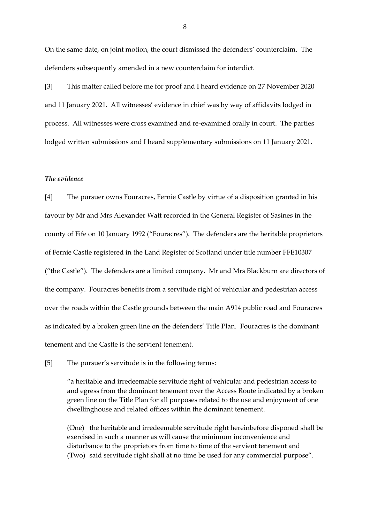On the same date, on joint motion, the court dismissed the defenders' counterclaim. The defenders subsequently amended in a new counterclaim for interdict.

[3] This matter called before me for proof and I heard evidence on 27 November 2020 and 11 January 2021. All witnesses' evidence in chief was by way of affidavits lodged in process. All witnesses were cross examined and re-examined orally in court. The parties lodged written submissions and I heard supplementary submissions on 11 January 2021.

## *The evidence*

[4] The pursuer owns Fouracres, Fernie Castle by virtue of a disposition granted in his favour by Mr and Mrs Alexander Watt recorded in the General Register of Sasines in the county of Fife on 10 January 1992 ("Fouracres"). The defenders are the heritable proprietors of Fernie Castle registered in the Land Register of Scotland under title number FFE10307 ("the Castle"). The defenders are a limited company. Mr and Mrs Blackburn are directors of the company. Fouracres benefits from a servitude right of vehicular and pedestrian access over the roads within the Castle grounds between the main A914 public road and Fouracres as indicated by a broken green line on the defenders' Title Plan. Fouracres is the dominant tenement and the Castle is the servient tenement.

[5] The pursuer's servitude is in the following terms:

"a heritable and irredeemable servitude right of vehicular and pedestrian access to and egress from the dominant tenement over the Access Route indicated by a broken green line on the Title Plan for all purposes related to the use and enjoyment of one dwellinghouse and related offices within the dominant tenement.

(One) the heritable and irredeemable servitude right hereinbefore disponed shall be exercised in such a manner as will cause the minimum inconvenience and disturbance to the proprietors from time to time of the servient tenement and (Two) said servitude right shall at no time be used for any commercial purpose".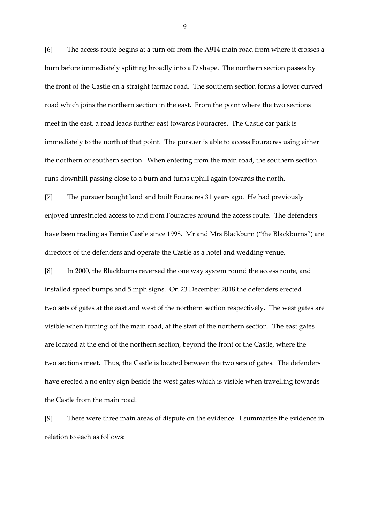[6] The access route begins at a turn off from the A914 main road from where it crosses a burn before immediately splitting broadly into a D shape. The northern section passes by the front of the Castle on a straight tarmac road. The southern section forms a lower curved road which joins the northern section in the east. From the point where the two sections meet in the east, a road leads further east towards Fouracres. The Castle car park is immediately to the north of that point. The pursuer is able to access Fouracres using either the northern or southern section. When entering from the main road, the southern section runs downhill passing close to a burn and turns uphill again towards the north.

[7] The pursuer bought land and built Fouracres 31 years ago. He had previously enjoyed unrestricted access to and from Fouracres around the access route. The defenders have been trading as Fernie Castle since 1998. Mr and Mrs Blackburn ("the Blackburns") are directors of the defenders and operate the Castle as a hotel and wedding venue.

[8] In 2000, the Blackburns reversed the one way system round the access route, and installed speed bumps and 5 mph signs. On 23 December 2018 the defenders erected two sets of gates at the east and west of the northern section respectively. The west gates are visible when turning off the main road, at the start of the northern section. The east gates are located at the end of the northern section, beyond the front of the Castle, where the two sections meet. Thus, the Castle is located between the two sets of gates. The defenders have erected a no entry sign beside the west gates which is visible when travelling towards the Castle from the main road.

[9] There were three main areas of dispute on the evidence. I summarise the evidence in relation to each as follows: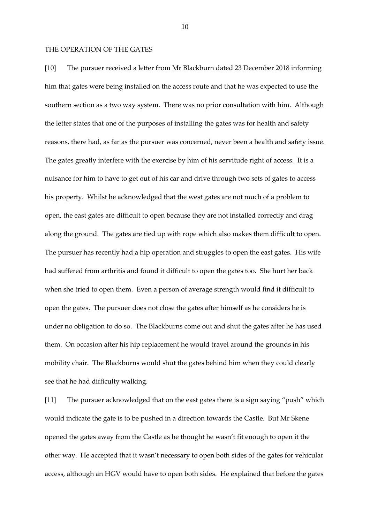#### THE OPERATION OF THE GATES

[10] The pursuer received a letter from Mr Blackburn dated 23 December 2018 informing him that gates were being installed on the access route and that he was expected to use the southern section as a two way system. There was no prior consultation with him. Although the letter states that one of the purposes of installing the gates was for health and safety reasons, there had, as far as the pursuer was concerned, never been a health and safety issue. The gates greatly interfere with the exercise by him of his servitude right of access. It is a nuisance for him to have to get out of his car and drive through two sets of gates to access his property. Whilst he acknowledged that the west gates are not much of a problem to open, the east gates are difficult to open because they are not installed correctly and drag along the ground. The gates are tied up with rope which also makes them difficult to open. The pursuer has recently had a hip operation and struggles to open the east gates. His wife had suffered from arthritis and found it difficult to open the gates too. She hurt her back when she tried to open them. Even a person of average strength would find it difficult to open the gates. The pursuer does not close the gates after himself as he considers he is under no obligation to do so. The Blackburns come out and shut the gates after he has used them. On occasion after his hip replacement he would travel around the grounds in his mobility chair. The Blackburns would shut the gates behind him when they could clearly see that he had difficulty walking.

[11] The pursuer acknowledged that on the east gates there is a sign saying "push" which would indicate the gate is to be pushed in a direction towards the Castle. But Mr Skene opened the gates away from the Castle as he thought he wasn't fit enough to open it the other way. He accepted that it wasn't necessary to open both sides of the gates for vehicular access, although an HGV would have to open both sides. He explained that before the gates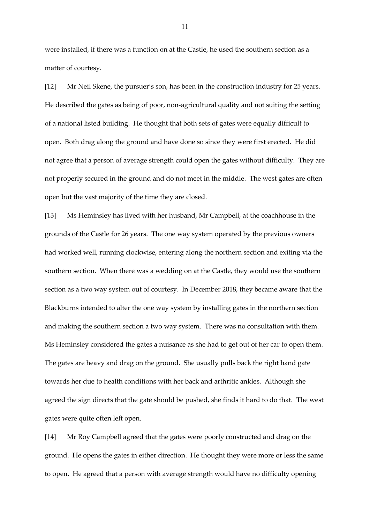were installed, if there was a function on at the Castle, he used the southern section as a matter of courtesy.

[12] Mr Neil Skene, the pursuer's son, has been in the construction industry for 25 years. He described the gates as being of poor, non-agricultural quality and not suiting the setting of a national listed building. He thought that both sets of gates were equally difficult to open. Both drag along the ground and have done so since they were first erected. He did not agree that a person of average strength could open the gates without difficulty. They are not properly secured in the ground and do not meet in the middle. The west gates are often open but the vast majority of the time they are closed.

[13] Ms Heminsley has lived with her husband, Mr Campbell, at the coachhouse in the grounds of the Castle for 26 years. The one way system operated by the previous owners had worked well, running clockwise, entering along the northern section and exiting via the southern section. When there was a wedding on at the Castle, they would use the southern section as a two way system out of courtesy. In December 2018, they became aware that the Blackburns intended to alter the one way system by installing gates in the northern section and making the southern section a two way system. There was no consultation with them. Ms Heminsley considered the gates a nuisance as she had to get out of her car to open them. The gates are heavy and drag on the ground. She usually pulls back the right hand gate towards her due to health conditions with her back and arthritic ankles. Although she agreed the sign directs that the gate should be pushed, she finds it hard to do that. The west gates were quite often left open.

[14] Mr Roy Campbell agreed that the gates were poorly constructed and drag on the ground. He opens the gates in either direction. He thought they were more or less the same to open. He agreed that a person with average strength would have no difficulty opening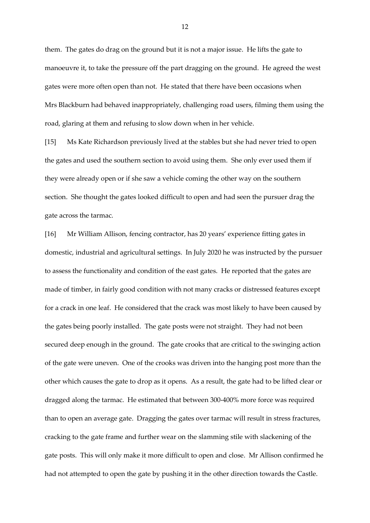them. The gates do drag on the ground but it is not a major issue. He lifts the gate to manoeuvre it, to take the pressure off the part dragging on the ground. He agreed the west gates were more often open than not. He stated that there have been occasions when Mrs Blackburn had behaved inappropriately, challenging road users, filming them using the road, glaring at them and refusing to slow down when in her vehicle.

[15] Ms Kate Richardson previously lived at the stables but she had never tried to open the gates and used the southern section to avoid using them. She only ever used them if they were already open or if she saw a vehicle coming the other way on the southern section. She thought the gates looked difficult to open and had seen the pursuer drag the gate across the tarmac.

[16] Mr William Allison, fencing contractor, has 20 years' experience fitting gates in domestic, industrial and agricultural settings. In July 2020 he was instructed by the pursuer to assess the functionality and condition of the east gates. He reported that the gates are made of timber, in fairly good condition with not many cracks or distressed features except for a crack in one leaf. He considered that the crack was most likely to have been caused by the gates being poorly installed. The gate posts were not straight. They had not been secured deep enough in the ground. The gate crooks that are critical to the swinging action of the gate were uneven. One of the crooks was driven into the hanging post more than the other which causes the gate to drop as it opens. As a result, the gate had to be lifted clear or dragged along the tarmac. He estimated that between 300-400% more force was required than to open an average gate. Dragging the gates over tarmac will result in stress fractures, cracking to the gate frame and further wear on the slamming stile with slackening of the gate posts. This will only make it more difficult to open and close. Mr Allison confirmed he had not attempted to open the gate by pushing it in the other direction towards the Castle.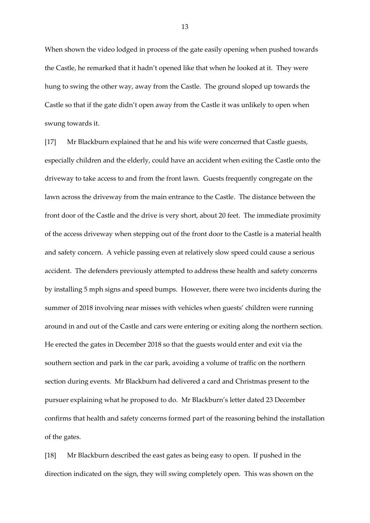When shown the video lodged in process of the gate easily opening when pushed towards the Castle, he remarked that it hadn't opened like that when he looked at it. They were hung to swing the other way, away from the Castle. The ground sloped up towards the Castle so that if the gate didn't open away from the Castle it was unlikely to open when swung towards it.

[17] Mr Blackburn explained that he and his wife were concerned that Castle guests, especially children and the elderly, could have an accident when exiting the Castle onto the driveway to take access to and from the front lawn. Guests frequently congregate on the lawn across the driveway from the main entrance to the Castle. The distance between the front door of the Castle and the drive is very short, about 20 feet. The immediate proximity of the access driveway when stepping out of the front door to the Castle is a material health and safety concern. A vehicle passing even at relatively slow speed could cause a serious accident. The defenders previously attempted to address these health and safety concerns by installing 5 mph signs and speed bumps. However, there were two incidents during the summer of 2018 involving near misses with vehicles when guests' children were running around in and out of the Castle and cars were entering or exiting along the northern section. He erected the gates in December 2018 so that the guests would enter and exit via the southern section and park in the car park, avoiding a volume of traffic on the northern section during events. Mr Blackburn had delivered a card and Christmas present to the pursuer explaining what he proposed to do. Mr Blackburn's letter dated 23 December confirms that health and safety concerns formed part of the reasoning behind the installation of the gates.

[18] Mr Blackburn described the east gates as being easy to open. If pushed in the direction indicated on the sign, they will swing completely open. This was shown on the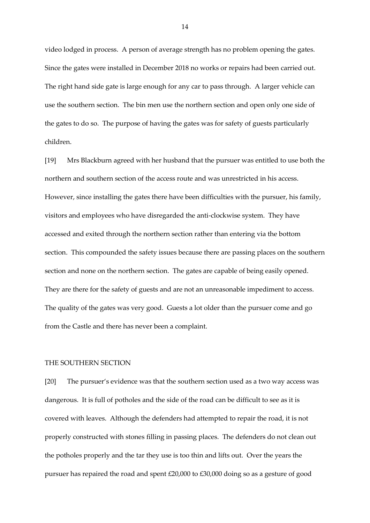video lodged in process. A person of average strength has no problem opening the gates. Since the gates were installed in December 2018 no works or repairs had been carried out. The right hand side gate is large enough for any car to pass through. A larger vehicle can use the southern section. The bin men use the northern section and open only one side of the gates to do so. The purpose of having the gates was for safety of guests particularly children.

[19] Mrs Blackburn agreed with her husband that the pursuer was entitled to use both the northern and southern section of the access route and was unrestricted in his access. However, since installing the gates there have been difficulties with the pursuer, his family, visitors and employees who have disregarded the anti-clockwise system. They have accessed and exited through the northern section rather than entering via the bottom section. This compounded the safety issues because there are passing places on the southern section and none on the northern section. The gates are capable of being easily opened. They are there for the safety of guests and are not an unreasonable impediment to access. The quality of the gates was very good. Guests a lot older than the pursuer come and go from the Castle and there has never been a complaint.

## THE SOUTHERN SECTION

[20] The pursuer's evidence was that the southern section used as a two way access was dangerous. It is full of potholes and the side of the road can be difficult to see as it is covered with leaves. Although the defenders had attempted to repair the road, it is not properly constructed with stones filling in passing places. The defenders do not clean out the potholes properly and the tar they use is too thin and lifts out. Over the years the pursuer has repaired the road and spent £20,000 to £30,000 doing so as a gesture of good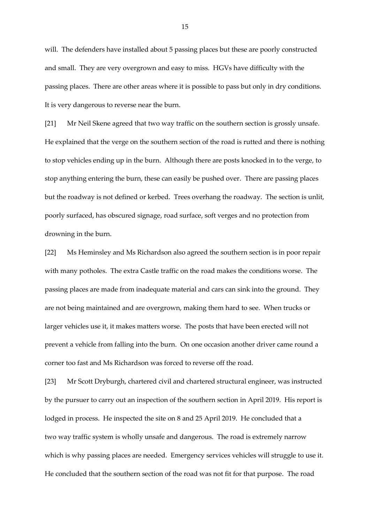will. The defenders have installed about 5 passing places but these are poorly constructed and small. They are very overgrown and easy to miss. HGVs have difficulty with the passing places. There are other areas where it is possible to pass but only in dry conditions. It is very dangerous to reverse near the burn.

[21] Mr Neil Skene agreed that two way traffic on the southern section is grossly unsafe. He explained that the verge on the southern section of the road is rutted and there is nothing to stop vehicles ending up in the burn. Although there are posts knocked in to the verge, to stop anything entering the burn, these can easily be pushed over. There are passing places but the roadway is not defined or kerbed. Trees overhang the roadway. The section is unlit, poorly surfaced, has obscured signage, road surface, soft verges and no protection from drowning in the burn.

[22] Ms Heminsley and Ms Richardson also agreed the southern section is in poor repair with many potholes. The extra Castle traffic on the road makes the conditions worse. The passing places are made from inadequate material and cars can sink into the ground. They are not being maintained and are overgrown, making them hard to see. When trucks or larger vehicles use it, it makes matters worse. The posts that have been erected will not prevent a vehicle from falling into the burn. On one occasion another driver came round a corner too fast and Ms Richardson was forced to reverse off the road.

[23] Mr Scott Dryburgh, chartered civil and chartered structural engineer, was instructed by the pursuer to carry out an inspection of the southern section in April 2019. His report is lodged in process. He inspected the site on 8 and 25 April 2019. He concluded that a two way traffic system is wholly unsafe and dangerous. The road is extremely narrow which is why passing places are needed. Emergency services vehicles will struggle to use it. He concluded that the southern section of the road was not fit for that purpose. The road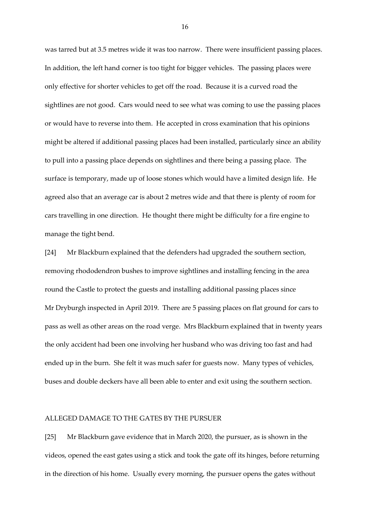was tarred but at 3.5 metres wide it was too narrow. There were insufficient passing places. In addition, the left hand corner is too tight for bigger vehicles. The passing places were only effective for shorter vehicles to get off the road. Because it is a curved road the sightlines are not good. Cars would need to see what was coming to use the passing places or would have to reverse into them. He accepted in cross examination that his opinions might be altered if additional passing places had been installed, particularly since an ability to pull into a passing place depends on sightlines and there being a passing place. The surface is temporary, made up of loose stones which would have a limited design life. He agreed also that an average car is about 2 metres wide and that there is plenty of room for cars travelling in one direction. He thought there might be difficulty for a fire engine to manage the tight bend.

[24] Mr Blackburn explained that the defenders had upgraded the southern section, removing rhododendron bushes to improve sightlines and installing fencing in the area round the Castle to protect the guests and installing additional passing places since Mr Dryburgh inspected in April 2019. There are 5 passing places on flat ground for cars to pass as well as other areas on the road verge. Mrs Blackburn explained that in twenty years the only accident had been one involving her husband who was driving too fast and had ended up in the burn. She felt it was much safer for guests now. Many types of vehicles, buses and double deckers have all been able to enter and exit using the southern section.

## ALLEGED DAMAGE TO THE GATES BY THE PURSUER

[25] Mr Blackburn gave evidence that in March 2020, the pursuer, as is shown in the videos, opened the east gates using a stick and took the gate off its hinges, before returning in the direction of his home. Usually every morning, the pursuer opens the gates without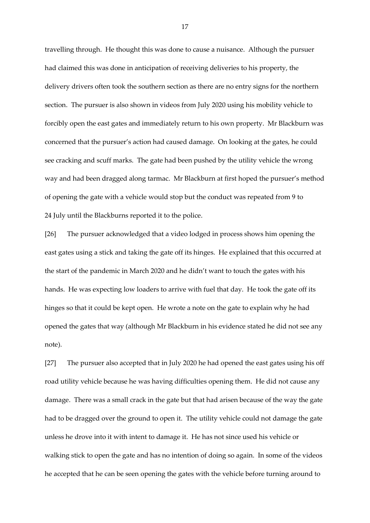travelling through. He thought this was done to cause a nuisance. Although the pursuer had claimed this was done in anticipation of receiving deliveries to his property, the delivery drivers often took the southern section as there are no entry signs for the northern section. The pursuer is also shown in videos from July 2020 using his mobility vehicle to forcibly open the east gates and immediately return to his own property. Mr Blackburn was concerned that the pursuer's action had caused damage. On looking at the gates, he could see cracking and scuff marks. The gate had been pushed by the utility vehicle the wrong way and had been dragged along tarmac. Mr Blackburn at first hoped the pursuer's method of opening the gate with a vehicle would stop but the conduct was repeated from 9 to 24 July until the Blackburns reported it to the police.

[26] The pursuer acknowledged that a video lodged in process shows him opening the east gates using a stick and taking the gate off its hinges. He explained that this occurred at the start of the pandemic in March 2020 and he didn't want to touch the gates with his hands. He was expecting low loaders to arrive with fuel that day. He took the gate off its hinges so that it could be kept open. He wrote a note on the gate to explain why he had opened the gates that way (although Mr Blackburn in his evidence stated he did not see any note).

[27] The pursuer also accepted that in July 2020 he had opened the east gates using his off road utility vehicle because he was having difficulties opening them. He did not cause any damage. There was a small crack in the gate but that had arisen because of the way the gate had to be dragged over the ground to open it. The utility vehicle could not damage the gate unless he drove into it with intent to damage it. He has not since used his vehicle or walking stick to open the gate and has no intention of doing so again. In some of the videos he accepted that he can be seen opening the gates with the vehicle before turning around to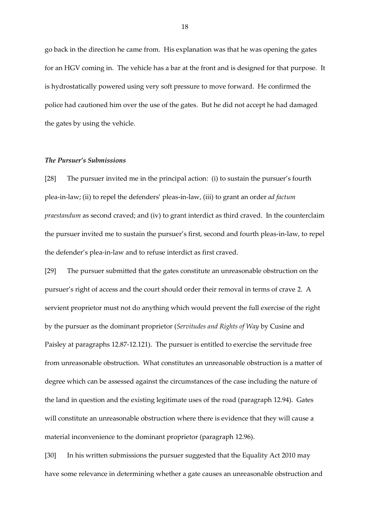go back in the direction he came from. His explanation was that he was opening the gates for an HGV coming in. The vehicle has a bar at the front and is designed for that purpose. It is hydrostatically powered using very soft pressure to move forward. He confirmed the police had cautioned him over the use of the gates. But he did not accept he had damaged the gates by using the vehicle.

#### *The Pursuer's Submissions*

[28] The pursuer invited me in the principal action: (i) to sustain the pursuer's fourth plea-in-law; (ii) to repel the defenders' pleas-in-law, (iii) to grant an order *ad factum praestandum* as second craved; and (iv) to grant interdict as third craved. In the counterclaim the pursuer invited me to sustain the pursuer's first, second and fourth pleas-in-law, to repel the defender's plea-in-law and to refuse interdict as first craved.

[29] The pursuer submitted that the gates constitute an unreasonable obstruction on the pursuer's right of access and the court should order their removal in terms of crave 2. A servient proprietor must not do anything which would prevent the full exercise of the right by the pursuer as the dominant proprietor (*Servitudes and Rights of Way* by Cusine and Paisley at paragraphs 12.87-12.121). The pursuer is entitled to exercise the servitude free from unreasonable obstruction. What constitutes an unreasonable obstruction is a matter of degree which can be assessed against the circumstances of the case including the nature of the land in question and the existing legitimate uses of the road (paragraph 12.94). Gates will constitute an unreasonable obstruction where there is evidence that they will cause a material inconvenience to the dominant proprietor (paragraph 12.96).

[30] In his written submissions the pursuer suggested that the Equality Act 2010 may have some relevance in determining whether a gate causes an unreasonable obstruction and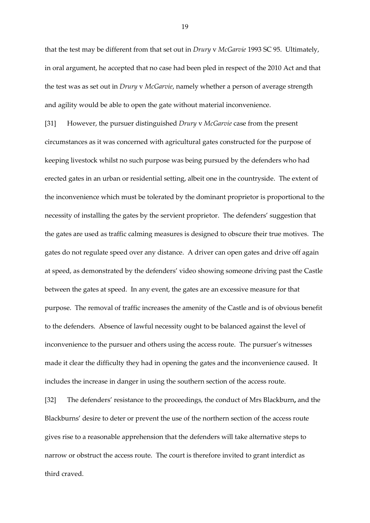that the test may be different from that set out in *Drury* v *McGarvie* 1993 SC 95. Ultimately, in oral argument, he accepted that no case had been pled in respect of the 2010 Act and that the test was as set out in *Drury* v *McGarvie*, namely whether a person of average strength and agility would be able to open the gate without material inconvenience.

[31] However, the pursuer distinguished *Drury* v *McGarvie* case from the present circumstances as it was concerned with agricultural gates constructed for the purpose of keeping livestock whilst no such purpose was being pursued by the defenders who had erected gates in an urban or residential setting, albeit one in the countryside. The extent of the inconvenience which must be tolerated by the dominant proprietor is proportional to the necessity of installing the gates by the servient proprietor. The defenders' suggestion that the gates are used as traffic calming measures is designed to obscure their true motives. The gates do not regulate speed over any distance. A driver can open gates and drive off again at speed, as demonstrated by the defenders' video showing someone driving past the Castle between the gates at speed. In any event, the gates are an excessive measure for that purpose. The removal of traffic increases the amenity of the Castle and is of obvious benefit to the defenders. Absence of lawful necessity ought to be balanced against the level of inconvenience to the pursuer and others using the access route. The pursuer's witnesses made it clear the difficulty they had in opening the gates and the inconvenience caused. It includes the increase in danger in using the southern section of the access route.

[32] The defenders' resistance to the proceedings, the conduct of Mrs Blackburn**,** and the Blackburns' desire to deter or prevent the use of the northern section of the access route gives rise to a reasonable apprehension that the defenders will take alternative steps to narrow or obstruct the access route. The court is therefore invited to grant interdict as third craved.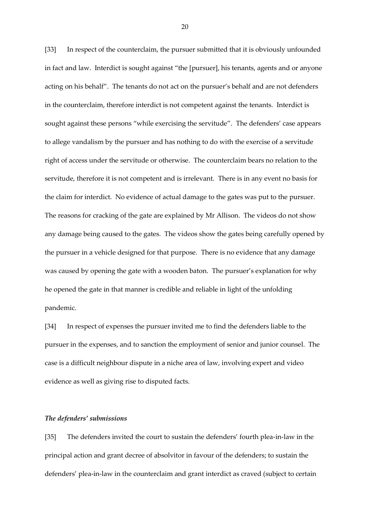[33] In respect of the counterclaim, the pursuer submitted that it is obviously unfounded in fact and law. Interdict is sought against "the [pursuer], his tenants, agents and or anyone acting on his behalf". The tenants do not act on the pursuer's behalf and are not defenders in the counterclaim, therefore interdict is not competent against the tenants. Interdict is sought against these persons "while exercising the servitude". The defenders' case appears to allege vandalism by the pursuer and has nothing to do with the exercise of a servitude right of access under the servitude or otherwise. The counterclaim bears no relation to the servitude, therefore it is not competent and is irrelevant. There is in any event no basis for the claim for interdict. No evidence of actual damage to the gates was put to the pursuer. The reasons for cracking of the gate are explained by Mr Allison. The videos do not show any damage being caused to the gates. The videos show the gates being carefully opened by the pursuer in a vehicle designed for that purpose. There is no evidence that any damage was caused by opening the gate with a wooden baton. The pursuer's explanation for why he opened the gate in that manner is credible and reliable in light of the unfolding pandemic.

[34] In respect of expenses the pursuer invited me to find the defenders liable to the pursuer in the expenses, and to sanction the employment of senior and junior counsel. The case is a difficult neighbour dispute in a niche area of law, involving expert and video evidence as well as giving rise to disputed facts.

## *The defenders' submissions*

[35] The defenders invited the court to sustain the defenders' fourth plea-in-law in the principal action and grant decree of absolvitor in favour of the defenders; to sustain the defenders' plea-in-law in the counterclaim and grant interdict as craved (subject to certain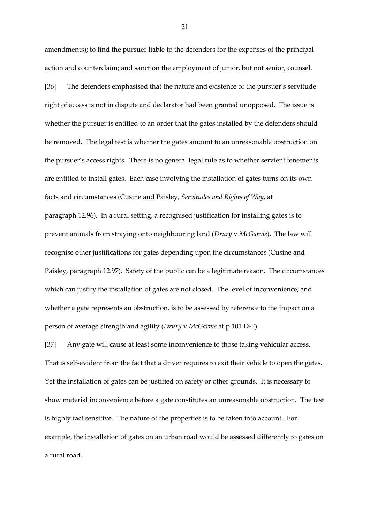amendments); to find the pursuer liable to the defenders for the expenses of the principal action and counterclaim; and sanction the employment of junior, but not senior, counsel.

[36] The defenders emphasised that the nature and existence of the pursuer's servitude right of access is not in dispute and declarator had been granted unopposed. The issue is whether the pursuer is entitled to an order that the gates installed by the defenders should be removed. The legal test is whether the gates amount to an unreasonable obstruction on the pursuer's access rights. There is no general legal rule as to whether servient tenements are entitled to install gates. Each case involving the installation of gates turns on its own facts and circumstances (Cusine and Paisley, *Servitudes and Rights of Way*, at paragraph 12.96). In a rural setting, a recognised justification for installing gates is to prevent animals from straying onto neighbouring land (*Drury* v *McGarvie*). The law will recognise other justifications for gates depending upon the circumstances (Cusine and Paisley, paragraph 12.97). Safety of the public can be a legitimate reason. The circumstances which can justify the installation of gates are not closed. The level of inconvenience, and whether a gate represents an obstruction, is to be assessed by reference to the impact on a person of average strength and agility (*Drury* v *McGarvie* at p.101 D-F).

[37] Any gate will cause at least some inconvenience to those taking vehicular access. That is self-evident from the fact that a driver requires to exit their vehicle to open the gates. Yet the installation of gates can be justified on safety or other grounds. It is necessary to show material inconvenience before a gate constitutes an unreasonable obstruction. The test is highly fact sensitive. The nature of the properties is to be taken into account. For example, the installation of gates on an urban road would be assessed differently to gates on a rural road.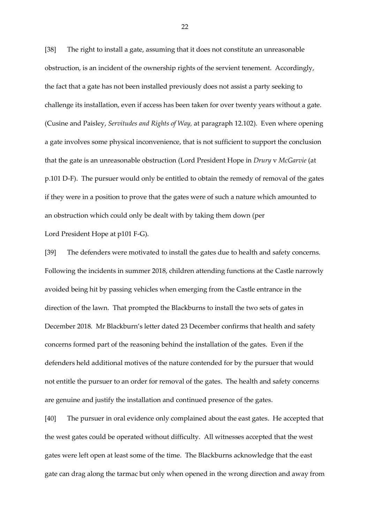[38] The right to install a gate, assuming that it does not constitute an unreasonable obstruction, is an incident of the ownership rights of the servient tenement. Accordingly, the fact that a gate has not been installed previously does not assist a party seeking to challenge its installation, even if access has been taken for over twenty years without a gate. (Cusine and Paisley, *Servitudes and Rights of Way,* at paragraph 12.102). Even where opening a gate involves some physical inconvenience, that is not sufficient to support the conclusion that the gate is an unreasonable obstruction (Lord President Hope in *Drury* v *McGarvie* (at p.101 D-F). The pursuer would only be entitled to obtain the remedy of removal of the gates if they were in a position to prove that the gates were of such a nature which amounted to an obstruction which could only be dealt with by taking them down (per Lord President Hope at p101 F-G).

[39] The defenders were motivated to install the gates due to health and safety concerns. Following the incidents in summer 2018, children attending functions at the Castle narrowly avoided being hit by passing vehicles when emerging from the Castle entrance in the direction of the lawn. That prompted the Blackburns to install the two sets of gates in December 2018. Mr Blackburn's letter dated 23 December confirms that health and safety concerns formed part of the reasoning behind the installation of the gates. Even if the defenders held additional motives of the nature contended for by the pursuer that would not entitle the pursuer to an order for removal of the gates. The health and safety concerns are genuine and justify the installation and continued presence of the gates.

[40] The pursuer in oral evidence only complained about the east gates. He accepted that the west gates could be operated without difficulty. All witnesses accepted that the west gates were left open at least some of the time. The Blackburns acknowledge that the east gate can drag along the tarmac but only when opened in the wrong direction and away from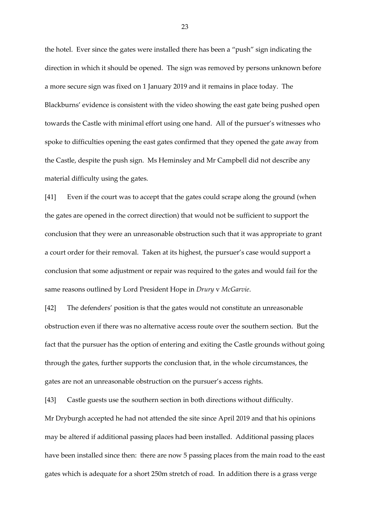the hotel. Ever since the gates were installed there has been a "push" sign indicating the direction in which it should be opened. The sign was removed by persons unknown before a more secure sign was fixed on 1 January 2019 and it remains in place today. The Blackburns' evidence is consistent with the video showing the east gate being pushed open towards the Castle with minimal effort using one hand. All of the pursuer's witnesses who spoke to difficulties opening the east gates confirmed that they opened the gate away from the Castle, despite the push sign. Ms Heminsley and Mr Campbell did not describe any material difficulty using the gates.

[41] Even if the court was to accept that the gates could scrape along the ground (when the gates are opened in the correct direction) that would not be sufficient to support the conclusion that they were an unreasonable obstruction such that it was appropriate to grant a court order for their removal. Taken at its highest, the pursuer's case would support a conclusion that some adjustment or repair was required to the gates and would fail for the same reasons outlined by Lord President Hope in *Drury* v *McGarvie*.

[42] The defenders' position is that the gates would not constitute an unreasonable obstruction even if there was no alternative access route over the southern section. But the fact that the pursuer has the option of entering and exiting the Castle grounds without going through the gates, further supports the conclusion that, in the whole circumstances, the gates are not an unreasonable obstruction on the pursuer's access rights.

[43] Castle guests use the southern section in both directions without difficulty. Mr Dryburgh accepted he had not attended the site since April 2019 and that his opinions may be altered if additional passing places had been installed. Additional passing places have been installed since then: there are now 5 passing places from the main road to the east gates which is adequate for a short 250m stretch of road. In addition there is a grass verge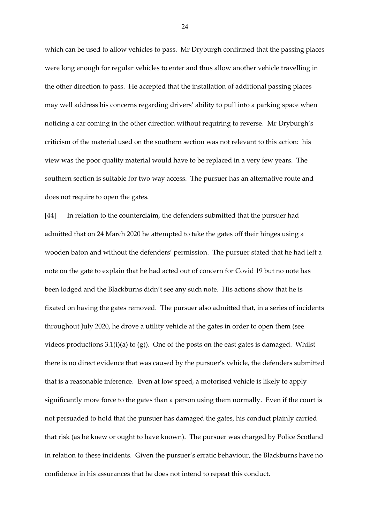which can be used to allow vehicles to pass. Mr Dryburgh confirmed that the passing places were long enough for regular vehicles to enter and thus allow another vehicle travelling in the other direction to pass. He accepted that the installation of additional passing places may well address his concerns regarding drivers' ability to pull into a parking space when noticing a car coming in the other direction without requiring to reverse. Mr Dryburgh's criticism of the material used on the southern section was not relevant to this action: his view was the poor quality material would have to be replaced in a very few years. The southern section is suitable for two way access. The pursuer has an alternative route and does not require to open the gates.

[44] In relation to the counterclaim, the defenders submitted that the pursuer had admitted that on 24 March 2020 he attempted to take the gates off their hinges using a wooden baton and without the defenders' permission. The pursuer stated that he had left a note on the gate to explain that he had acted out of concern for Covid 19 but no note has been lodged and the Blackburns didn't see any such note. His actions show that he is fixated on having the gates removed. The pursuer also admitted that, in a series of incidents throughout July 2020, he drove a utility vehicle at the gates in order to open them (see videos productions  $3.1(i)(a)$  to  $(g)$ ). One of the posts on the east gates is damaged. Whilst there is no direct evidence that was caused by the pursuer's vehicle, the defenders submitted that is a reasonable inference. Even at low speed, a motorised vehicle is likely to apply significantly more force to the gates than a person using them normally. Even if the court is not persuaded to hold that the pursuer has damaged the gates, his conduct plainly carried that risk (as he knew or ought to have known). The pursuer was charged by Police Scotland in relation to these incidents. Given the pursuer's erratic behaviour, the Blackburns have no confidence in his assurances that he does not intend to repeat this conduct.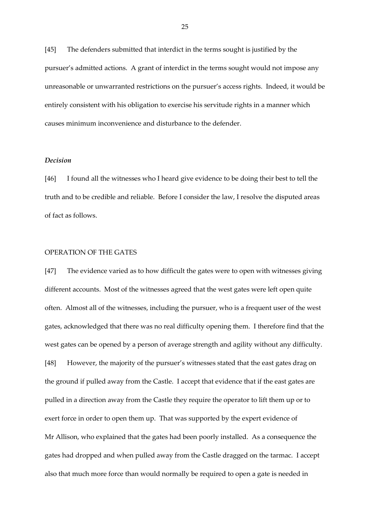[45] The defenders submitted that interdict in the terms sought is justified by the pursuer's admitted actions. A grant of interdict in the terms sought would not impose any unreasonable or unwarranted restrictions on the pursuer's access rights. Indeed, it would be entirely consistent with his obligation to exercise his servitude rights in a manner which causes minimum inconvenience and disturbance to the defender.

#### *Decision*

[46] I found all the witnesses who I heard give evidence to be doing their best to tell the truth and to be credible and reliable. Before I consider the law, I resolve the disputed areas of fact as follows.

#### OPERATION OF THE GATES

[47] The evidence varied as to how difficult the gates were to open with witnesses giving different accounts. Most of the witnesses agreed that the west gates were left open quite often. Almost all of the witnesses, including the pursuer, who is a frequent user of the west gates, acknowledged that there was no real difficulty opening them. I therefore find that the west gates can be opened by a person of average strength and agility without any difficulty. [48] However, the majority of the pursuer's witnesses stated that the east gates drag on the ground if pulled away from the Castle. I accept that evidence that if the east gates are pulled in a direction away from the Castle they require the operator to lift them up or to exert force in order to open them up. That was supported by the expert evidence of Mr Allison, who explained that the gates had been poorly installed. As a consequence the gates had dropped and when pulled away from the Castle dragged on the tarmac. I accept also that much more force than would normally be required to open a gate is needed in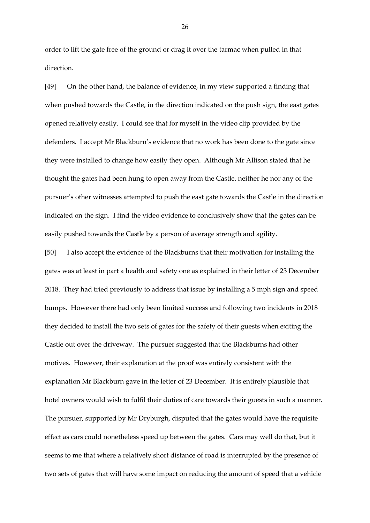order to lift the gate free of the ground or drag it over the tarmac when pulled in that direction.

[49] On the other hand, the balance of evidence, in my view supported a finding that when pushed towards the Castle, in the direction indicated on the push sign, the east gates opened relatively easily. I could see that for myself in the video clip provided by the defenders. I accept Mr Blackburn's evidence that no work has been done to the gate since they were installed to change how easily they open. Although Mr Allison stated that he thought the gates had been hung to open away from the Castle, neither he nor any of the pursuer's other witnesses attempted to push the east gate towards the Castle in the direction indicated on the sign. I find the video evidence to conclusively show that the gates can be easily pushed towards the Castle by a person of average strength and agility.

[50] I also accept the evidence of the Blackburns that their motivation for installing the gates was at least in part a health and safety one as explained in their letter of 23 December 2018. They had tried previously to address that issue by installing a 5 mph sign and speed bumps. However there had only been limited success and following two incidents in 2018 they decided to install the two sets of gates for the safety of their guests when exiting the Castle out over the driveway. The pursuer suggested that the Blackburns had other motives. However, their explanation at the proof was entirely consistent with the explanation Mr Blackburn gave in the letter of 23 December. It is entirely plausible that hotel owners would wish to fulfil their duties of care towards their guests in such a manner. The pursuer, supported by Mr Dryburgh, disputed that the gates would have the requisite effect as cars could nonetheless speed up between the gates. Cars may well do that, but it seems to me that where a relatively short distance of road is interrupted by the presence of two sets of gates that will have some impact on reducing the amount of speed that a vehicle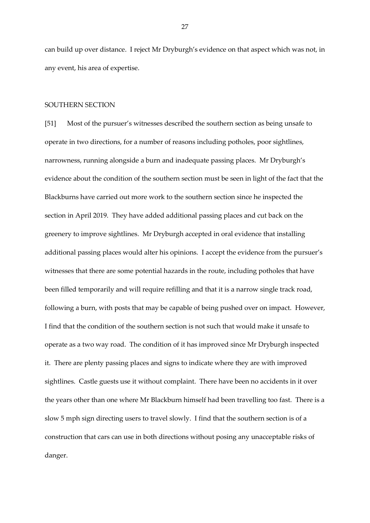can build up over distance. I reject Mr Dryburgh's evidence on that aspect which was not, in any event, his area of expertise.

#### SOUTHERN SECTION

[51] Most of the pursuer's witnesses described the southern section as being unsafe to operate in two directions, for a number of reasons including potholes, poor sightlines, narrowness, running alongside a burn and inadequate passing places. Mr Dryburgh's evidence about the condition of the southern section must be seen in light of the fact that the Blackburns have carried out more work to the southern section since he inspected the section in April 2019. They have added additional passing places and cut back on the greenery to improve sightlines. Mr Dryburgh accepted in oral evidence that installing additional passing places would alter his opinions. I accept the evidence from the pursuer's witnesses that there are some potential hazards in the route, including potholes that have been filled temporarily and will require refilling and that it is a narrow single track road, following a burn, with posts that may be capable of being pushed over on impact. However, I find that the condition of the southern section is not such that would make it unsafe to operate as a two way road. The condition of it has improved since Mr Dryburgh inspected it. There are plenty passing places and signs to indicate where they are with improved sightlines. Castle guests use it without complaint. There have been no accidents in it over the years other than one where Mr Blackburn himself had been travelling too fast. There is a slow 5 mph sign directing users to travel slowly. I find that the southern section is of a construction that cars can use in both directions without posing any unacceptable risks of danger.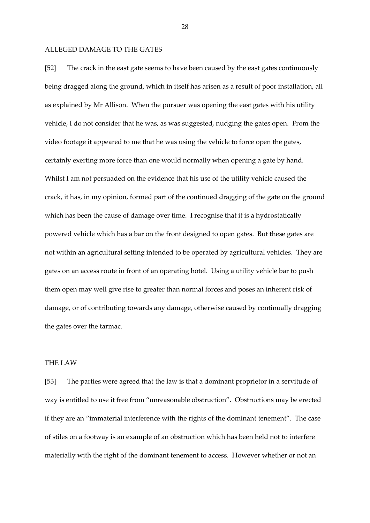## ALLEGED DAMAGE TO THE GATES

[52] The crack in the east gate seems to have been caused by the east gates continuously being dragged along the ground, which in itself has arisen as a result of poor installation, all as explained by Mr Allison. When the pursuer was opening the east gates with his utility vehicle, I do not consider that he was, as was suggested, nudging the gates open. From the video footage it appeared to me that he was using the vehicle to force open the gates, certainly exerting more force than one would normally when opening a gate by hand. Whilst I am not persuaded on the evidence that his use of the utility vehicle caused the crack, it has, in my opinion, formed part of the continued dragging of the gate on the ground which has been the cause of damage over time. I recognise that it is a hydrostatically powered vehicle which has a bar on the front designed to open gates. But these gates are not within an agricultural setting intended to be operated by agricultural vehicles. They are gates on an access route in front of an operating hotel. Using a utility vehicle bar to push them open may well give rise to greater than normal forces and poses an inherent risk of damage, or of contributing towards any damage, otherwise caused by continually dragging the gates over the tarmac.

# THE LAW

[53] The parties were agreed that the law is that a dominant proprietor in a servitude of way is entitled to use it free from "unreasonable obstruction". Obstructions may be erected if they are an "immaterial interference with the rights of the dominant tenement". The case of stiles on a footway is an example of an obstruction which has been held not to interfere materially with the right of the dominant tenement to access. However whether or not an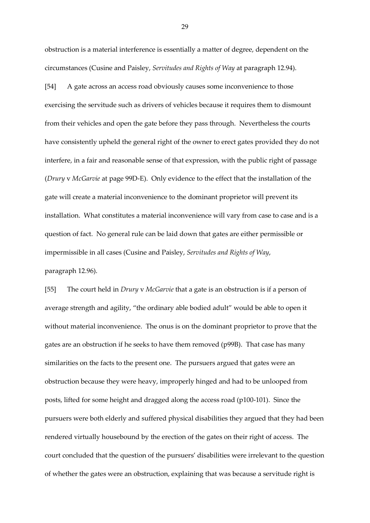obstruction is a material interference is essentially a matter of degree, dependent on the circumstances (Cusine and Paisley, *Servitudes and Rights of Way* at paragraph 12.94).

[54] A gate across an access road obviously causes some inconvenience to those exercising the servitude such as drivers of vehicles because it requires them to dismount from their vehicles and open the gate before they pass through. Nevertheless the courts have consistently upheld the general right of the owner to erect gates provided they do not interfere, in a fair and reasonable sense of that expression, with the public right of passage (*Drury* v *McGarvie* at page 99D-E). Only evidence to the effect that the installation of the gate will create a material inconvenience to the dominant proprietor will prevent its installation. What constitutes a material inconvenience will vary from case to case and is a question of fact. No general rule can be laid down that gates are either permissible or impermissible in all cases (Cusine and Paisley, *Servitudes and Rights of Way*, paragraph 12.96).

[55] The court held in *Drury* v *McGarvie* that a gate is an obstruction is if a person of average strength and agility, "the ordinary able bodied adult" would be able to open it without material inconvenience. The onus is on the dominant proprietor to prove that the gates are an obstruction if he seeks to have them removed (p99B). That case has many similarities on the facts to the present one. The pursuers argued that gates were an obstruction because they were heavy, improperly hinged and had to be unlooped from posts, lifted for some height and dragged along the access road (p100-101). Since the pursuers were both elderly and suffered physical disabilities they argued that they had been rendered virtually housebound by the erection of the gates on their right of access. The court concluded that the question of the pursuers' disabilities were irrelevant to the question of whether the gates were an obstruction, explaining that was because a servitude right is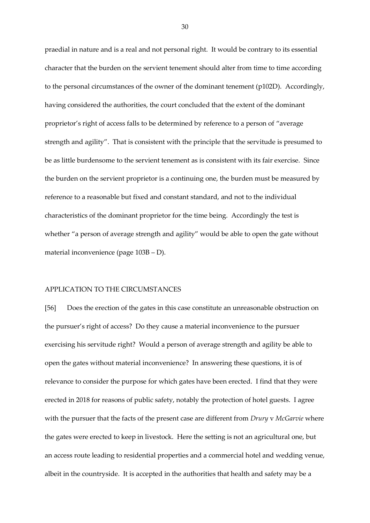praedial in nature and is a real and not personal right. It would be contrary to its essential character that the burden on the servient tenement should alter from time to time according to the personal circumstances of the owner of the dominant tenement (p102D). Accordingly, having considered the authorities, the court concluded that the extent of the dominant proprietor's right of access falls to be determined by reference to a person of "average strength and agility". That is consistent with the principle that the servitude is presumed to be as little burdensome to the servient tenement as is consistent with its fair exercise. Since the burden on the servient proprietor is a continuing one, the burden must be measured by reference to a reasonable but fixed and constant standard, and not to the individual characteristics of the dominant proprietor for the time being. Accordingly the test is whether "a person of average strength and agility" would be able to open the gate without material inconvenience (page 103B – D).

#### APPLICATION TO THE CIRCUMSTANCES

[56] Does the erection of the gates in this case constitute an unreasonable obstruction on the pursuer's right of access? Do they cause a material inconvenience to the pursuer exercising his servitude right? Would a person of average strength and agility be able to open the gates without material inconvenience? In answering these questions, it is of relevance to consider the purpose for which gates have been erected. I find that they were erected in 2018 for reasons of public safety, notably the protection of hotel guests. I agree with the pursuer that the facts of the present case are different from *Drury* v *McGarvie* where the gates were erected to keep in livestock. Here the setting is not an agricultural one, but an access route leading to residential properties and a commercial hotel and wedding venue, albeit in the countryside. It is accepted in the authorities that health and safety may be a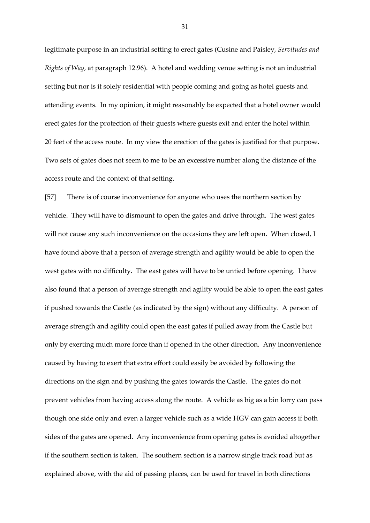legitimate purpose in an industrial setting to erect gates (Cusine and Paisley, *Servitudes and Rights of Way*, at paragraph 12.96). A hotel and wedding venue setting is not an industrial setting but nor is it solely residential with people coming and going as hotel guests and attending events. In my opinion, it might reasonably be expected that a hotel owner would erect gates for the protection of their guests where guests exit and enter the hotel within 20 feet of the access route. In my view the erection of the gates is justified for that purpose. Two sets of gates does not seem to me to be an excessive number along the distance of the access route and the context of that setting.

[57] There is of course inconvenience for anyone who uses the northern section by vehicle. They will have to dismount to open the gates and drive through. The west gates will not cause any such inconvenience on the occasions they are left open. When closed, I have found above that a person of average strength and agility would be able to open the west gates with no difficulty. The east gates will have to be untied before opening. I have also found that a person of average strength and agility would be able to open the east gates if pushed towards the Castle (as indicated by the sign) without any difficulty. A person of average strength and agility could open the east gates if pulled away from the Castle but only by exerting much more force than if opened in the other direction. Any inconvenience caused by having to exert that extra effort could easily be avoided by following the directions on the sign and by pushing the gates towards the Castle. The gates do not prevent vehicles from having access along the route. A vehicle as big as a bin lorry can pass though one side only and even a larger vehicle such as a wide HGV can gain access if both sides of the gates are opened. Any inconvenience from opening gates is avoided altogether if the southern section is taken. The southern section is a narrow single track road but as explained above, with the aid of passing places, can be used for travel in both directions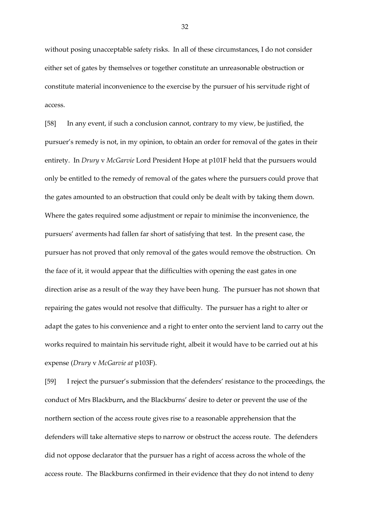without posing unacceptable safety risks. In all of these circumstances, I do not consider either set of gates by themselves or together constitute an unreasonable obstruction or constitute material inconvenience to the exercise by the pursuer of his servitude right of access.

[58] In any event, if such a conclusion cannot, contrary to my view, be justified, the pursuer's remedy is not, in my opinion, to obtain an order for removal of the gates in their entirety. In *Drury* v *McGarvie* Lord President Hope at p101F held that the pursuers would only be entitled to the remedy of removal of the gates where the pursuers could prove that the gates amounted to an obstruction that could only be dealt with by taking them down. Where the gates required some adjustment or repair to minimise the inconvenience, the pursuers' averments had fallen far short of satisfying that test. In the present case, the pursuer has not proved that only removal of the gates would remove the obstruction. On the face of it, it would appear that the difficulties with opening the east gates in one direction arise as a result of the way they have been hung. The pursuer has not shown that repairing the gates would not resolve that difficulty. The pursuer has a right to alter or adapt the gates to his convenience and a right to enter onto the servient land to carry out the works required to maintain his servitude right, albeit it would have to be carried out at his expense (*Drury* v *McGarvie at* p103F).

[59] I reject the pursuer's submission that the defenders' resistance to the proceedings, the conduct of Mrs Blackburn**,** and the Blackburns' desire to deter or prevent the use of the northern section of the access route gives rise to a reasonable apprehension that the defenders will take alternative steps to narrow or obstruct the access route. The defenders did not oppose declarator that the pursuer has a right of access across the whole of the access route. The Blackburns confirmed in their evidence that they do not intend to deny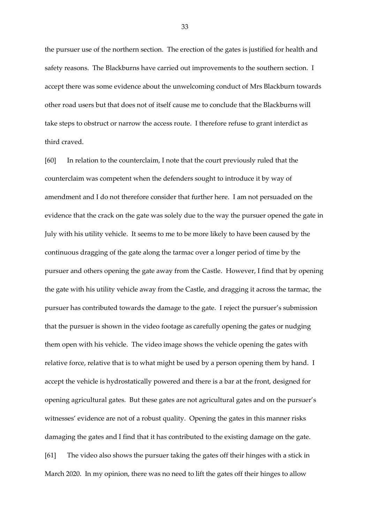the pursuer use of the northern section. The erection of the gates is justified for health and safety reasons. The Blackburns have carried out improvements to the southern section. I accept there was some evidence about the unwelcoming conduct of Mrs Blackburn towards other road users but that does not of itself cause me to conclude that the Blackburns will take steps to obstruct or narrow the access route. I therefore refuse to grant interdict as third craved.

[60] In relation to the counterclaim, I note that the court previously ruled that the counterclaim was competent when the defenders sought to introduce it by way of amendment and I do not therefore consider that further here. I am not persuaded on the evidence that the crack on the gate was solely due to the way the pursuer opened the gate in July with his utility vehicle. It seems to me to be more likely to have been caused by the continuous dragging of the gate along the tarmac over a longer period of time by the pursuer and others opening the gate away from the Castle. However, I find that by opening the gate with his utility vehicle away from the Castle, and dragging it across the tarmac, the pursuer has contributed towards the damage to the gate. I reject the pursuer's submission that the pursuer is shown in the video footage as carefully opening the gates or nudging them open with his vehicle. The video image shows the vehicle opening the gates with relative force, relative that is to what might be used by a person opening them by hand. I accept the vehicle is hydrostatically powered and there is a bar at the front, designed for opening agricultural gates. But these gates are not agricultural gates and on the pursuer's witnesses' evidence are not of a robust quality. Opening the gates in this manner risks damaging the gates and I find that it has contributed to the existing damage on the gate. [61] The video also shows the pursuer taking the gates off their hinges with a stick in March 2020. In my opinion, there was no need to lift the gates off their hinges to allow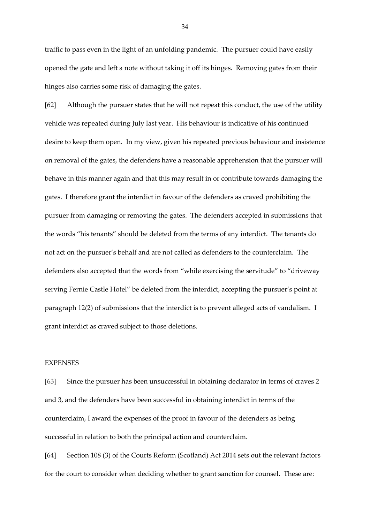traffic to pass even in the light of an unfolding pandemic. The pursuer could have easily opened the gate and left a note without taking it off its hinges. Removing gates from their hinges also carries some risk of damaging the gates.

[62] Although the pursuer states that he will not repeat this conduct, the use of the utility vehicle was repeated during July last year. His behaviour is indicative of his continued desire to keep them open. In my view, given his repeated previous behaviour and insistence on removal of the gates, the defenders have a reasonable apprehension that the pursuer will behave in this manner again and that this may result in or contribute towards damaging the gates. I therefore grant the interdict in favour of the defenders as craved prohibiting the pursuer from damaging or removing the gates. The defenders accepted in submissions that the words "his tenants" should be deleted from the terms of any interdict. The tenants do not act on the pursuer's behalf and are not called as defenders to the counterclaim. The defenders also accepted that the words from "while exercising the servitude" to "driveway serving Fernie Castle Hotel" be deleted from the interdict, accepting the pursuer's point at paragraph 12(2) of submissions that the interdict is to prevent alleged acts of vandalism. I grant interdict as craved subject to those deletions.

## EXPENSES

[63] Since the pursuer has been unsuccessful in obtaining declarator in terms of craves 2 and 3, and the defenders have been successful in obtaining interdict in terms of the counterclaim, I award the expenses of the proof in favour of the defenders as being successful in relation to both the principal action and counterclaim.

[64] Section 108 (3) of the Courts Reform (Scotland) Act 2014 sets out the relevant factors for the court to consider when deciding whether to grant sanction for counsel. These are: